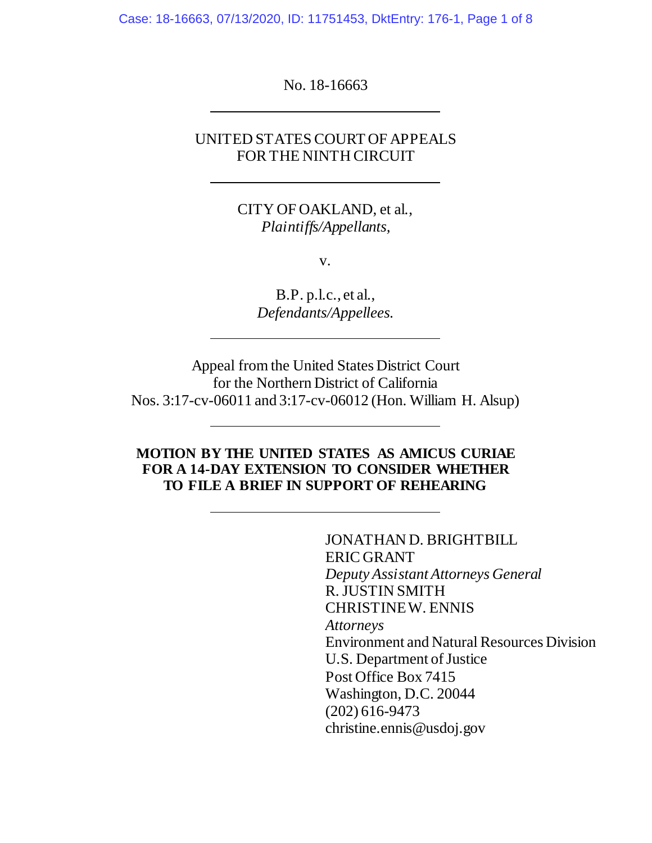Case: 18-16663, 07/13/2020, ID: 11751453, DktEntry: 176-1, Page 1 of 8

No. 18-16663

# UNITED STATES COURT OF APPEALS FOR THE NINTH CIRCUIT

CITY OF OAKLAND, et al., *Plaintiffs/Appellants,*

v.

B.P. p.l.c., et al., *Defendants/Appellees.*

Appeal from the United States District Court for the Northern District of California Nos. 3:17-cv-06011 and 3:17-cv-06012 (Hon. William H. Alsup)

## **MOTION BY THE UNITED STATES AS AMICUS CURIAE FOR A 14-DAY EXTENSION TO CONSIDER WHETHER TO FILE A BRIEF IN SUPPORT OF REHEARING**

JONATHAN D. BRIGHTBILL ERIC GRANT *Deputy Assistant Attorneys General* R. JUSTIN SMITH CHRISTINE W. ENNIS *Attorneys* Environment and Natural Resources Division U.S. Department of Justice Post Office Box 7415 Washington, D.C. 20044 (202) 616-9473 christine.ennis@usdoj.gov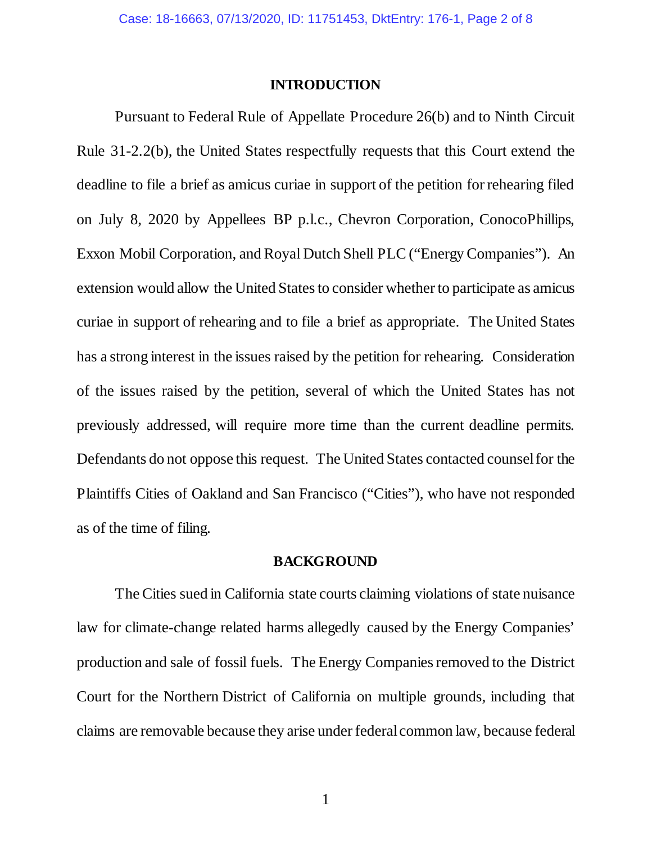### **INTRODUCTION**

Pursuant to Federal Rule of Appellate Procedure 26(b) and to Ninth Circuit Rule 31-2.2(b), the United States respectfully requests that this Court extend the deadline to file a brief as amicus curiae in support of the petition for rehearing filed on July 8, 2020 by Appellees BP p.l.c., Chevron Corporation, ConocoPhillips, Exxon Mobil Corporation, and Royal Dutch Shell PLC ("Energy Companies"). An extension would allow the United States to consider whether to participate as amicus curiae in support of rehearing and to file a brief as appropriate. The United States has a strong interest in the issues raised by the petition for rehearing. Consideration of the issues raised by the petition, several of which the United States has not previously addressed, will require more time than the current deadline permits. Defendants do not oppose this request. The United States contacted counsel for the Plaintiffs Cities of Oakland and San Francisco ("Cities"), who have not responded as of the time of filing.

#### **BACKGROUND**

The Cities sued in California state courts claiming violations of state nuisance law for climate-change related harms allegedly caused by the Energy Companies' production and sale of fossil fuels. The Energy Companies removed to the District Court for the Northern District of California on multiple grounds, including that claims are removable because they arise under federal common law, because federal

1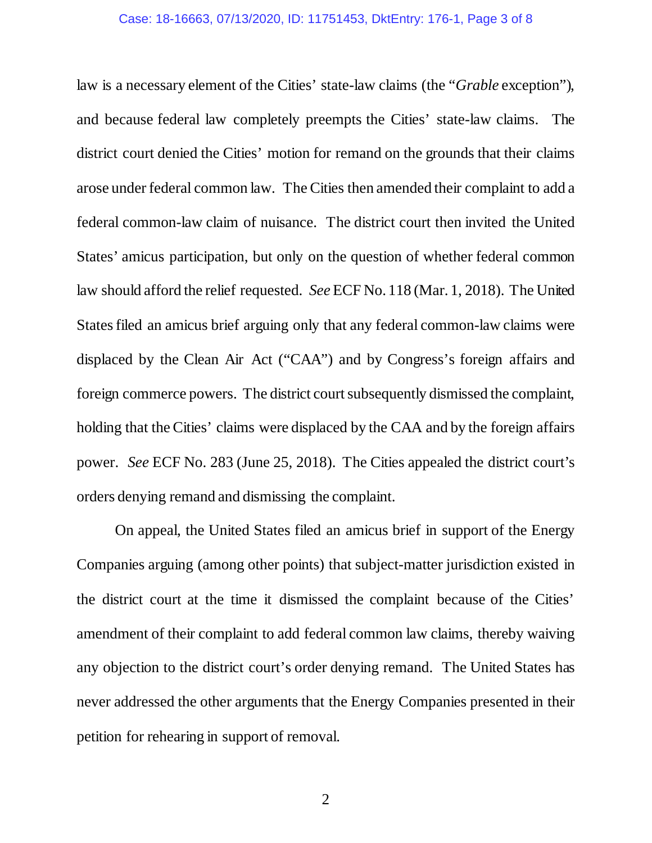#### Case: 18-16663, 07/13/2020, ID: 11751453, DktEntry: 176-1, Page 3 of 8

law is a necessary element of the Cities' state-law claims (the "*Grable* exception"), and because federal law completely preempts the Cities' state-law claims. The district court denied the Cities' motion for remand on the grounds that their claims arose under federal common law. The Cities then amended their complaint to add a federal common-law claim of nuisance. The district court then invited the United States' amicus participation, but only on the question of whether federal common law should afford the relief requested. *See* ECF No. 118 (Mar. 1, 2018). The United States filed an amicus brief arguing only that any federal common-law claims were displaced by the Clean Air Act ("CAA") and by Congress's foreign affairs and foreign commerce powers. The district court subsequently dismissed the complaint, holding that the Cities' claims were displaced by the CAA and by the foreign affairs power. *See* ECF No. 283 (June 25, 2018). The Cities appealed the district court's orders denying remand and dismissing the complaint.

On appeal, the United States filed an amicus brief in support of the Energy Companies arguing (among other points) that subject-matter jurisdiction existed in the district court at the time it dismissed the complaint because of the Cities' amendment of their complaint to add federal common law claims, thereby waiving any objection to the district court's order denying remand. The United States has never addressed the other arguments that the Energy Companies presented in their petition for rehearing in support of removal.

2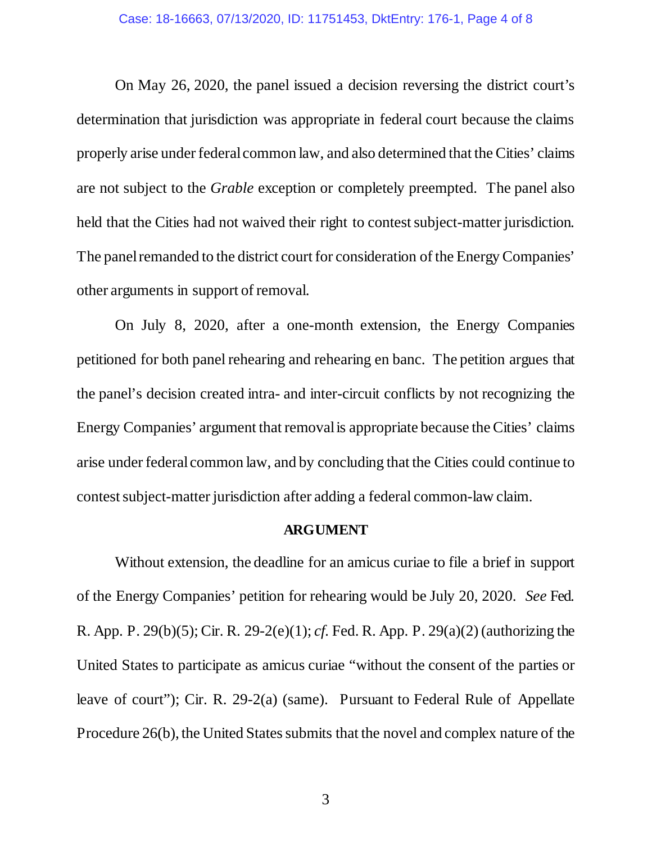On May 26, 2020, the panel issued a decision reversing the district court's determination that jurisdiction was appropriate in federal court because the claims properly arise under federal common law, and also determined that the Cities' claims are not subject to the *Grable* exception or completely preempted. The panel also held that the Cities had not waived their right to contest subject-matter jurisdiction. The panel remanded to the district court for consideration of the Energy Companies' other arguments in support of removal.

On July 8, 2020, after a one-month extension, the Energy Companies petitioned for both panel rehearing and rehearing en banc. The petition argues that the panel's decision created intra- and inter-circuit conflicts by not recognizing the Energy Companies' argument that removal is appropriate because the Cities' claims arise under federal common law, and by concluding that the Cities could continue to contest subject-matter jurisdiction after adding a federal common-law claim.

### **ARGUMENT**

Without extension, the deadline for an amicus curiae to file a brief in support of the Energy Companies' petition for rehearing would be July 20, 2020. *See* Fed. R. App. P. 29(b)(5); Cir. R. 29-2(e)(1); *cf.* Fed. R. App. P. 29(a)(2) (authorizing the United States to participate as amicus curiae "without the consent of the parties or leave of court"); Cir. R. 29-2(a) (same). Pursuant to Federal Rule of Appellate Procedure 26(b), the United States submits that the novel and complex nature of the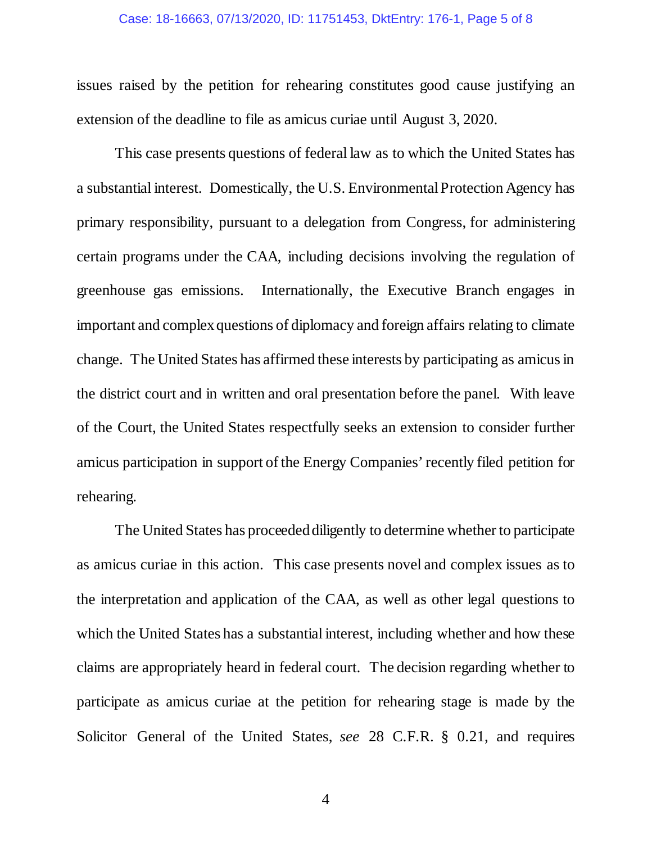#### Case: 18-16663, 07/13/2020, ID: 11751453, DktEntry: 176-1, Page 5 of 8

issues raised by the petition for rehearing constitutes good cause justifying an extension of the deadline to file as amicus curiae until August 3, 2020.

This case presents questions of federal law as to which the United States has a substantial interest. Domestically, the U.S. Environmental Protection Agency has primary responsibility, pursuant to a delegation from Congress, for administering certain programs under the CAA, including decisions involving the regulation of greenhouse gas emissions. Internationally, the Executive Branch engages in important and complex questions of diplomacy and foreign affairs relating to climate change. The United States has affirmed these interests by participating as amicusin the district court and in written and oral presentation before the panel. With leave of the Court, the United States respectfully seeks an extension to consider further amicus participation in support of the Energy Companies' recently filed petition for rehearing.

The United States has proceeded diligently to determine whether to participate as amicus curiae in this action. This case presents novel and complex issues as to the interpretation and application of the CAA, as well as other legal questions to which the United States has a substantial interest, including whether and how these claims are appropriately heard in federal court. The decision regarding whether to participate as amicus curiae at the petition for rehearing stage is made by the Solicitor General of the United States, *see* 28 C.F.R. § 0.21, and requires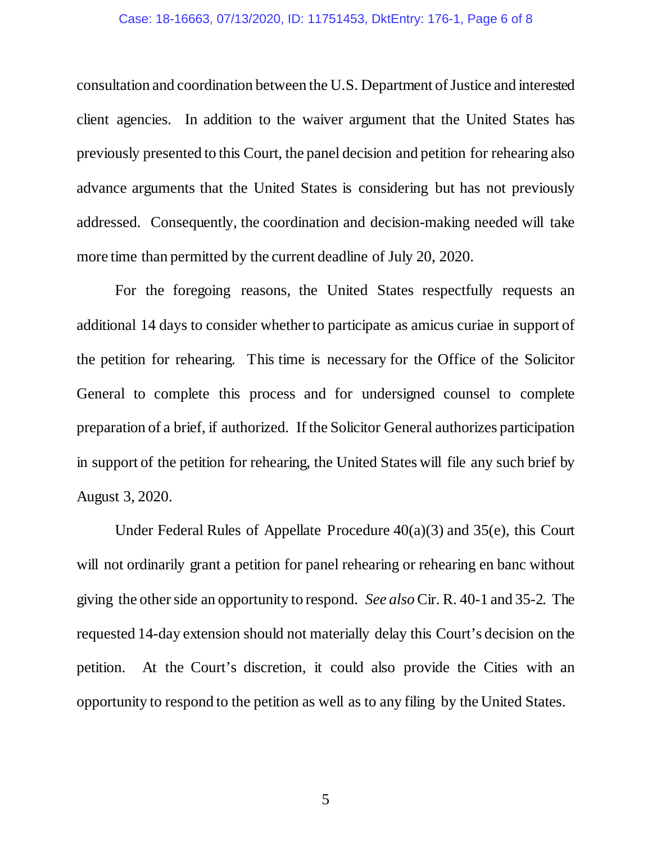#### Case: 18-16663, 07/13/2020, ID: 11751453, DktEntry: 176-1, Page 6 of 8

consultation and coordination between the U.S. Department of Justice and interested client agencies. In addition to the waiver argument that the United States has previously presented to this Court, the panel decision and petition for rehearing also advance arguments that the United States is considering but has not previously addressed. Consequently, the coordination and decision-making needed will take more time than permitted by the current deadline of July 20, 2020.

For the foregoing reasons, the United States respectfully requests an additional 14 days to consider whether to participate as amicus curiae in support of the petition for rehearing. This time is necessary for the Office of the Solicitor General to complete this process and for undersigned counsel to complete preparation of a brief, if authorized. If the Solicitor General authorizes participation in support of the petition for rehearing, the United States will file any such brief by August 3, 2020.

Under Federal Rules of Appellate Procedure 40(a)(3) and 35(e), this Court will not ordinarily grant a petition for panel rehearing or rehearing en banc without giving the other side an opportunity to respond. *See also* Cir. R. 40-1 and 35-2. The requested 14-day extension should not materially delay this Court's decision on the petition. At the Court's discretion, it could also provide the Cities with an opportunity to respond to the petition as well as to any filing by the United States.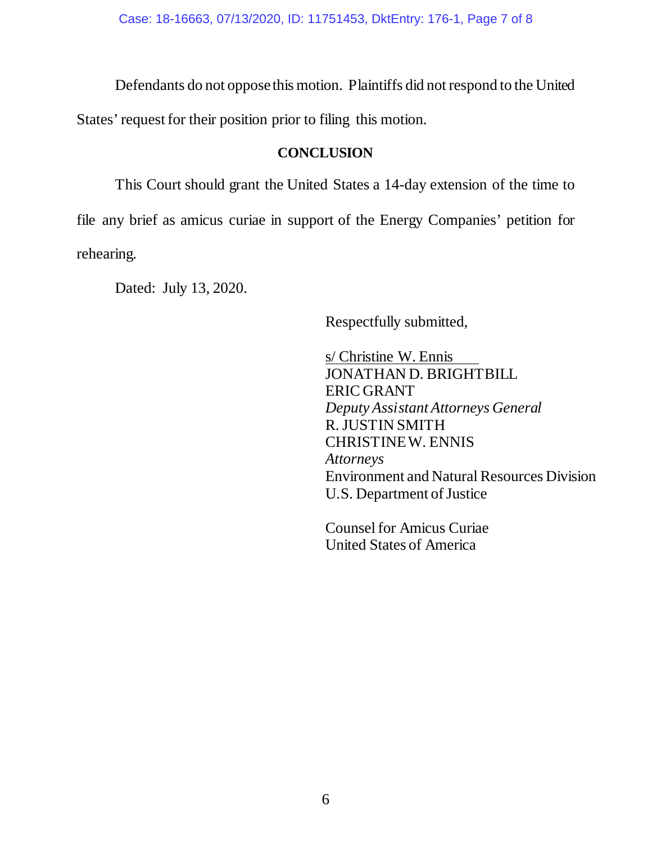Defendants do not oppose this motion. Plaintiffs did not respond to the United

States' request for their position prior to filing this motion.

## **CONCLUSION**

This Court should grant the United States a 14-day extension of the time to file any brief as amicus curiae in support of the Energy Companies' petition for rehearing.

Dated: July 13, 2020.

Respectfully submitted,

s/ Christine W. Ennis JONATHAN D. BRIGHTBILL ERIC GRANT *Deputy Assistant Attorneys General* R. JUSTIN SMITH CHRISTINE W. ENNIS *Attorneys* Environment and Natural Resources Division U.S. Department of Justice

Counsel for Amicus Curiae United States of America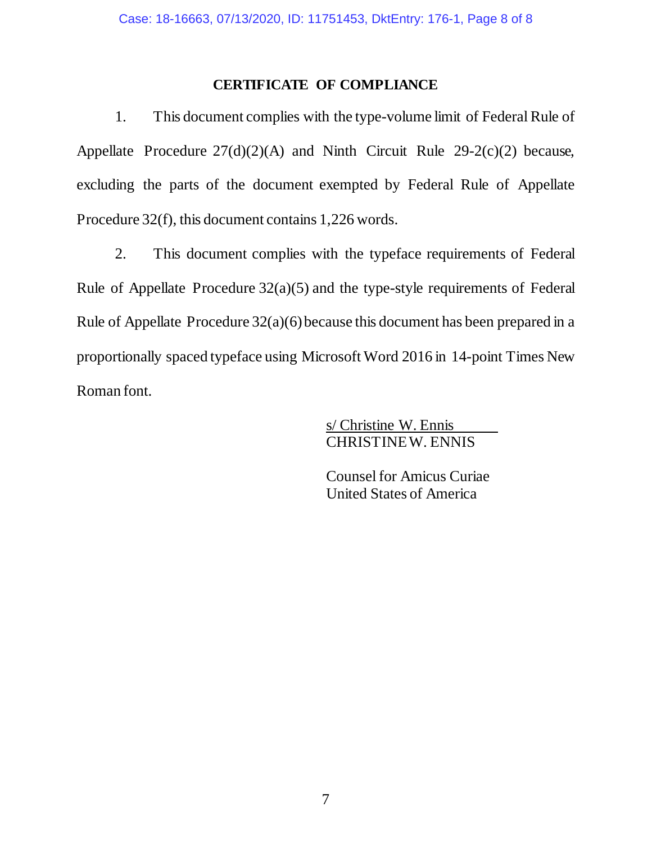# **CERTIFICATE OF COMPLIANCE**

1. This document complies with the type-volume limit of Federal Rule of Appellate Procedure 27(d)(2)(A) and Ninth Circuit Rule 29-2(c)(2) because, excluding the parts of the document exempted by Federal Rule of Appellate Procedure 32(f), this document contains 1,226 words.

2. This document complies with the typeface requirements of Federal Rule of Appellate Procedure 32(a)(5) and the type-style requirements of Federal Rule of Appellate Procedure 32(a)(6) because this document has been prepared in a proportionally spaced typeface using Microsoft Word 2016 in 14-point Times New Roman font.

> s/ Christine W. Ennis CHRISTINE W. ENNIS

Counsel for Amicus Curiae United States of America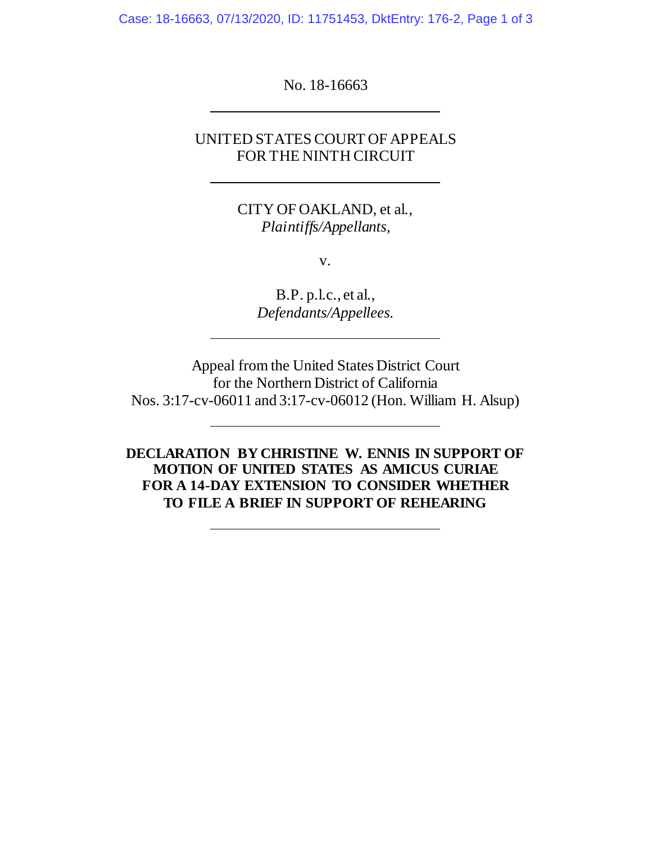Case: 18-16663, 07/13/2020, ID: 11751453, DktEntry: 176-2, Page 1 of 3

No. 18-16663

# UNITED STATES COURT OF APPEALS FOR THE NINTH CIRCUIT

CITY OF OAKLAND, et al., *Plaintiffs/Appellants,*

v.

B.P. p.l.c., et al., *Defendants/Appellees.*

Appeal from the United States District Court for the Northern District of California Nos. 3:17-cv-06011 and 3:17-cv-06012 (Hon. William H. Alsup)

**DECLARATION BY CHRISTINE W. ENNIS IN SUPPORT OF MOTION OF UNITED STATES AS AMICUS CURIAE FOR A 14-DAY EXTENSION TO CONSIDER WHETHER TO FILE A BRIEF IN SUPPORT OF REHEARING**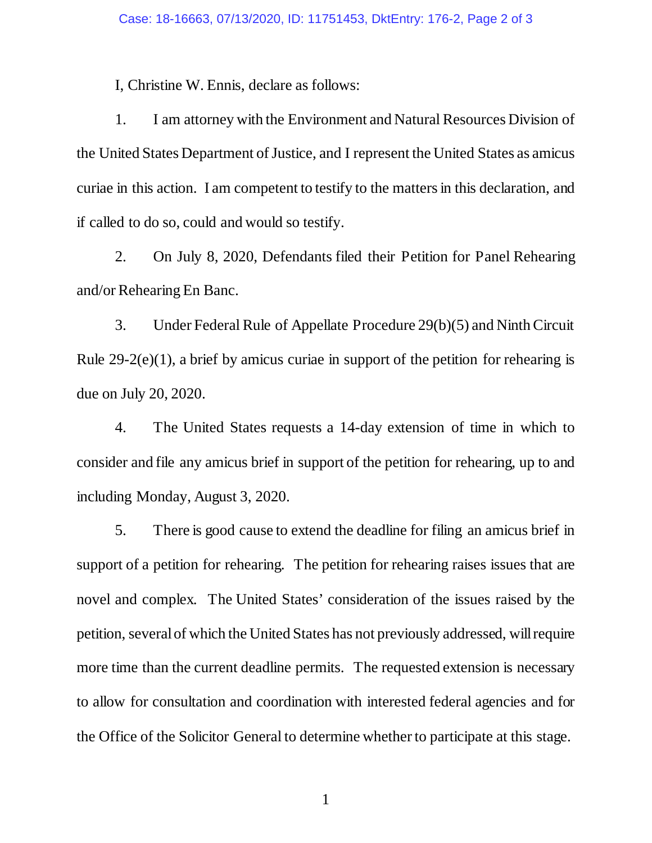I, Christine W. Ennis, declare as follows:

1. I am attorney with the Environment and Natural Resources Division of the United States Department of Justice, and I represent the United States as amicus curiae in this action. I am competent to testify to the matters in this declaration, and if called to do so, could and would so testify.

2. On July 8, 2020, Defendants filed their Petition for Panel Rehearing and/or Rehearing En Banc.

3. Under Federal Rule of Appellate Procedure 29(b)(5) and Ninth Circuit Rule 29-2(e)(1), a brief by amicus curiae in support of the petition for rehearing is due on July 20, 2020.

4. The United States requests a 14-day extension of time in which to consider and file any amicus brief in support of the petition for rehearing, up to and including Monday, August 3, 2020.

5. There is good cause to extend the deadline for filing an amicus brief in support of a petition for rehearing. The petition for rehearing raises issues that are novel and complex. The United States' consideration of the issues raised by the petition, severalof which the United States has not previously addressed, will require more time than the current deadline permits. The requested extension is necessary to allow for consultation and coordination with interested federal agencies and for the Office of the Solicitor General to determine whether to participate at this stage.

1